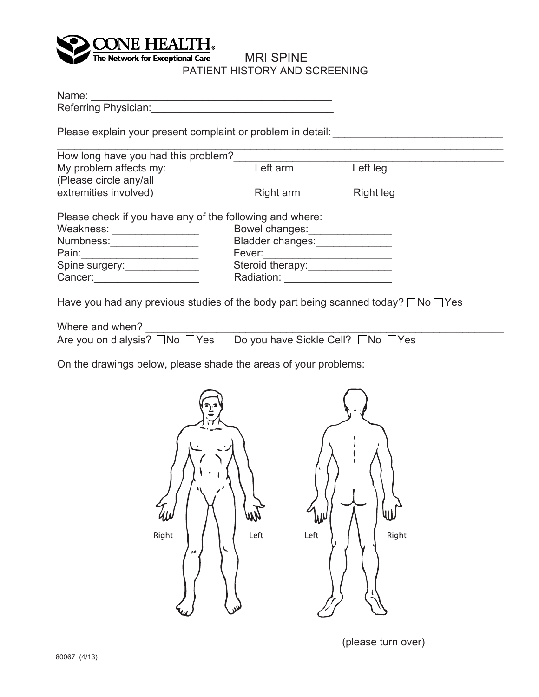

## MRI SPINE PATIENT HISTORY AND SCREENING

Name: \_\_\_\_\_\_\_\_\_\_\_\_\_\_\_\_\_\_\_\_\_\_\_\_\_\_\_\_\_\_\_\_\_\_\_\_\_\_\_\_\_

Referring Physician:\_\_\_\_\_\_\_\_\_\_\_\_\_\_\_\_\_\_\_\_\_\_\_\_\_\_\_\_\_\_\_

Please explain your present complaint or problem in detail: \_\_\_\_\_\_\_\_\_\_\_\_\_\_\_\_\_\_\_\_

| How long have you had this problem?                      |                         |           |
|----------------------------------------------------------|-------------------------|-----------|
| My problem affects my:<br>(Please circle any/all         | Left arm                | Left leg  |
| extremities involved)                                    | Right arm               | Right leg |
| Please check if you have any of the following and where: |                         |           |
| Weakness:                                                | Bowel changes:          |           |
| Numbness:                                                | <b>Bladder changes:</b> |           |
| Pain:                                                    | Fever:                  |           |
|                                                          | Steroid therapy:        |           |
| Spine surgery:                                           |                         |           |

Have you had any previous studies of the body part being scanned today?  $\Box$  No  $\Box$  Yes

| Where and when? |                                                                 |
|-----------------|-----------------------------------------------------------------|
|                 | Are you on dialysis? □No □Yes Do you have Sickle Cell? □No □Yes |

On the drawings below, please shade the areas of your problems:



(please turn over)